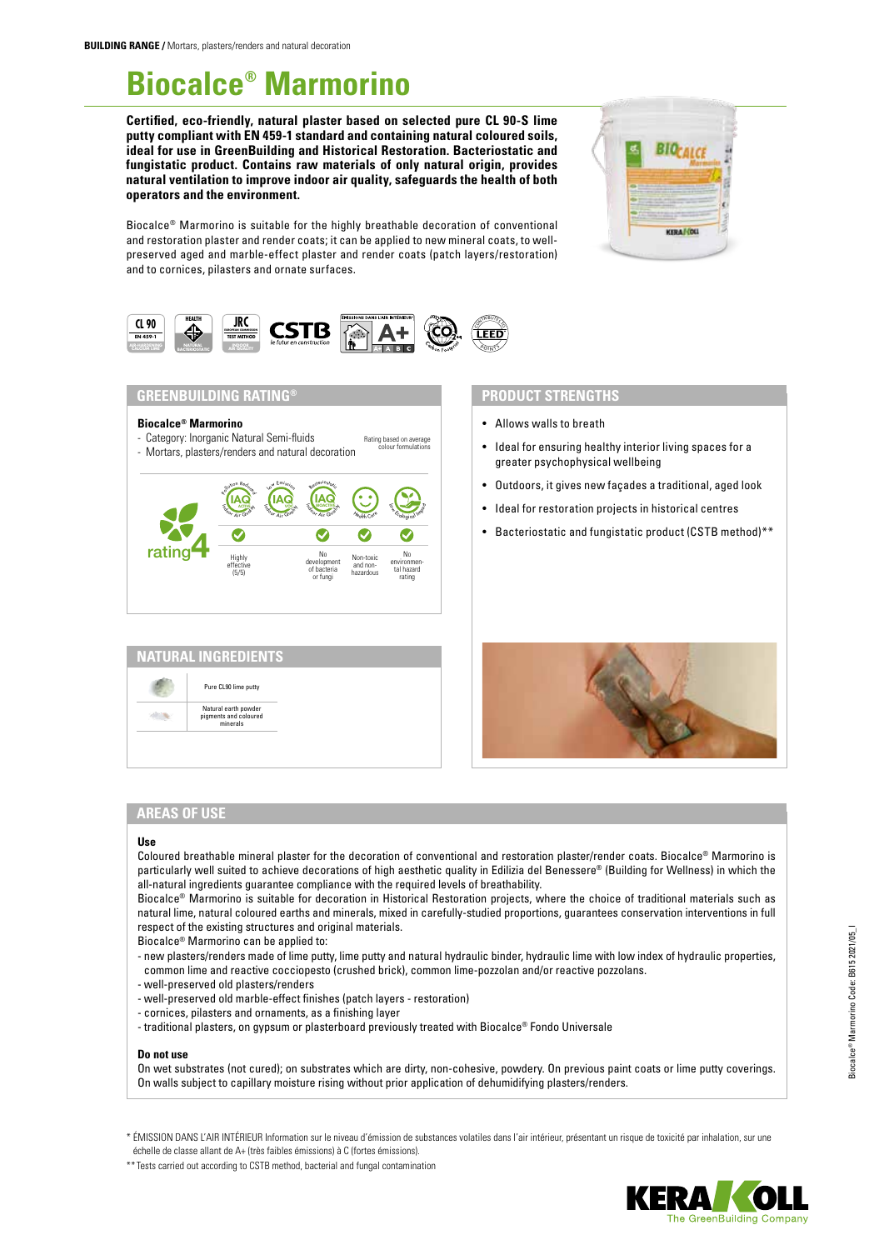# **Biocalce® Marmorino**

**Certified, eco-friendly, natural plaster based on selected pure CL 90-S lime putty compliant with EN 459-1 standard and containing natural coloured soils, ideal for use in GreenBuilding and Historical Restoration. Bacteriostatic and fungistatic product. Contains raw materials of only natural origin, provides natural ventilation to improve indoor air quality, safeguards the health of both operators and the environment.** 



Biocalce® Marmorino is suitable for the highly breathable decoration of conventional and restoration plaster and render coats; it can be applied to new mineral coats, to wellpreserved aged and marble-effect plaster and render coats (patch layers/restoration) and to cornices, pilasters and ornate surfaces.



## **GREENBUILDING RATING®**

#### **Biocalce® Marmorino**

- Category: Inorganic Natural Semi-fluids Rating based on average<br>colour formulations
- Mortars, plasters/renders and natural decoration



| Pure CL90 lime putty                                      |  |
|-----------------------------------------------------------|--|
| Natural earth powder<br>pigments and coloured<br>minerals |  |

### **PRODUCT STRENGTHS**

- Allows walls to breath
- Ideal for ensuring healthy interior living spaces for a greater psychophysical wellbeing
- Outdoors, it gives new façades a traditional, aged look
- Ideal for restoration projects in historical centres
- Bacteriostatic and fungistatic product (CSTB method)\*\*



## **AREAS OF USE**

#### **Use**

Coloured breathable mineral plaster for the decoration of conventional and restoration plaster/render coats. Biocalce® Marmorino is particularly well suited to achieve decorations of high aesthetic quality in Edilizia del Benessere® (Building for Wellness) in which the all-natural ingredients guarantee compliance with the required levels of breathability.

Biocalce® Marmorino is suitable for decoration in Historical Restoration projects, where the choice of traditional materials such as natural lime, natural coloured earths and minerals, mixed in carefully-studied proportions, guarantees conservation interventions in full respect of the existing structures and original materials.

Biocalce® Marmorino can be applied to:

- new plasters/renders made of lime putty, lime putty and natural hydraulic binder, hydraulic lime with low index of hydraulic properties, common lime and reactive cocciopesto (crushed brick), common lime-pozzolan and/or reactive pozzolans.
- well-preserved old plasters/renders
- well-preserved old marble-effect finishes (patch layers restoration)
- cornices, pilasters and ornaments, as a finishing layer
- traditional plasters, on gypsum or plasterboard previously treated with Biocalce® Fondo Universale

#### **Do not use**

On wet substrates (not cured); on substrates which are dirty, non-cohesive, powdery. On previous paint coats or lime putty coverings. On walls subject to capillary moisture rising without prior application of dehumidifying plasters/renders.

\* ÉMISSION DANS L'AIR INTÉRIEUR Information sur le niveau d'émission de substances volatiles dans l'air intérieur, présentant un risque de toxicité par inhalation, sur une échelle de classe allant de A+ (très faibles émissions) à C (fortes émissions).

\*\* Tests carried out according to CSTB method, bacterial and fungal contamination

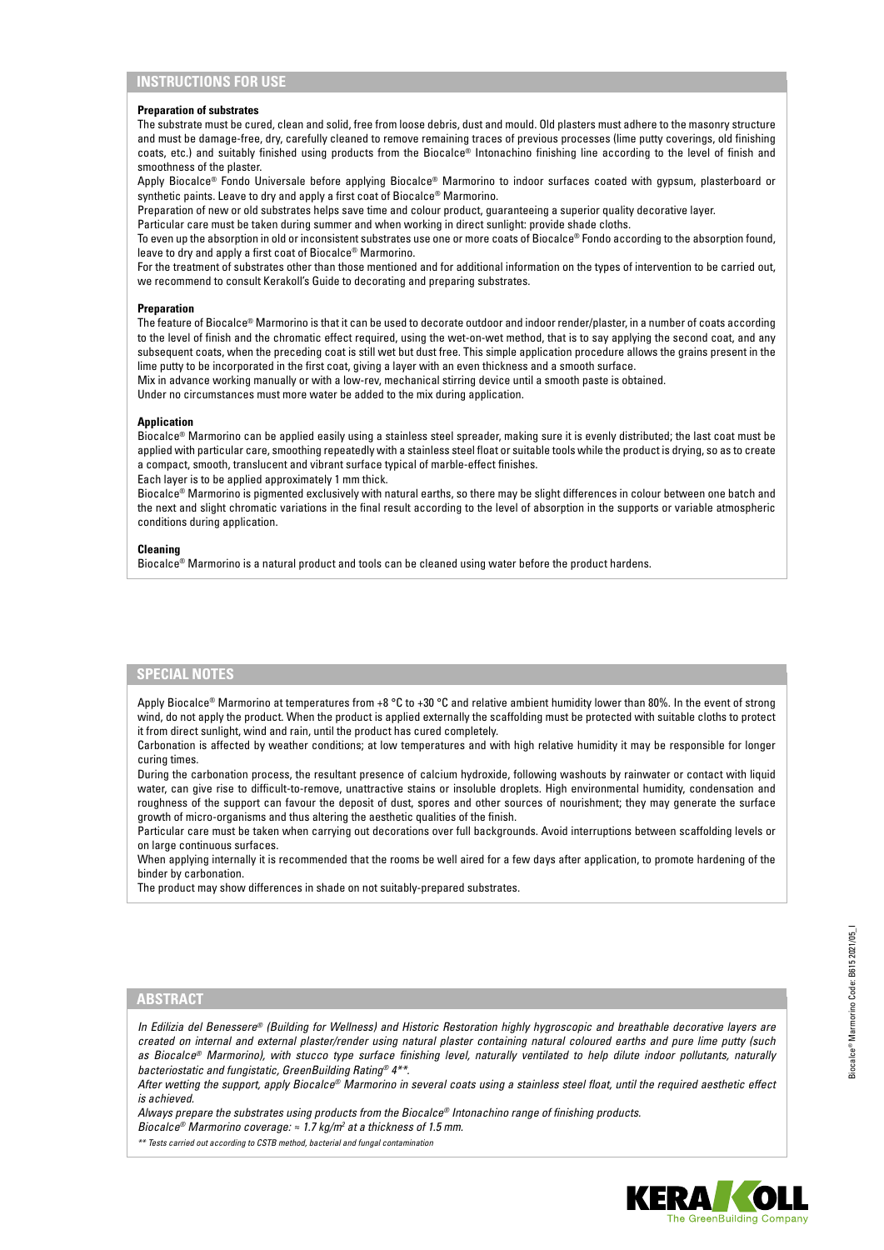## **INSTRUCTIONS FOR USE**

#### **Preparation of substrates**

The substrate must be cured, clean and solid, free from loose debris, dust and mould. Old plasters must adhere to the masonry structure and must be damage-free, dry, carefully cleaned to remove remaining traces of previous processes (lime putty coverings, old finishing coats, etc.) and suitably finished using products from the Biocalce® Intonachino finishing line according to the level of finish and smoothness of the plaster.

Apply Biocalce® Fondo Universale before applying Biocalce® Marmorino to indoor surfaces coated with gypsum, plasterboard or synthetic paints. Leave to dry and apply a first coat of Biocalce® Marmorino.

Preparation of new or old substrates helps save time and colour product, guaranteeing a superior quality decorative layer.

Particular care must be taken during summer and when working in direct sunlight: provide shade cloths.

To even up the absorption in old or inconsistent substrates use one or more coats of Biocalce® Fondo according to the absorption found, leave to dry and apply a first coat of Biocalce® Marmorino.

For the treatment of substrates other than those mentioned and for additional information on the types of intervention to be carried out, we recommend to consult Kerakoll's Guide to decorating and preparing substrates.

#### **Preparation**

The feature of Biocalce® Marmorino is that it can be used to decorate outdoor and indoor render/plaster, in a number of coats according to the level of finish and the chromatic effect required, using the wet-on-wet method, that is to say applying the second coat, and any subsequent coats, when the preceding coat is still wet but dust free. This simple application procedure allows the grains present in the lime putty to be incorporated in the first coat, giving a layer with an even thickness and a smooth surface.

Mix in advance working manually or with a low-rev, mechanical stirring device until a smooth paste is obtained.

Under no circumstances must more water be added to the mix during application.

#### **Application**

Biocalce® Marmorino can be applied easily using a stainless steel spreader, making sure it is evenly distributed; the last coat must be applied with particular care, smoothing repeatedly with a stainless steel float or suitable tools while the product is drying, so as to create a compact, smooth, translucent and vibrant surface typical of marble-effect finishes.

Each layer is to be applied approximately 1 mm thick.

Biocalce® Marmorino is pigmented exclusively with natural earths, so there may be slight differences in colour between one batch and the next and slight chromatic variations in the final result according to the level of absorption in the supports or variable atmospheric conditions during application.

#### **Cleaning**

Biocalce® Marmorino is a natural product and tools can be cleaned using water before the product hardens.

## **SPECIAL NOTES**

Apply Biocalce® Marmorino at temperatures from +8 °C to +30 °C and relative ambient humidity lower than 80%. In the event of strong wind, do not apply the product. When the product is applied externally the scaffolding must be protected with suitable cloths to protect it from direct sunlight, wind and rain, until the product has cured completely.

Carbonation is affected by weather conditions; at low temperatures and with high relative humidity it may be responsible for longer curing times.

During the carbonation process, the resultant presence of calcium hydroxide, following washouts by rainwater or contact with liquid water, can give rise to difficult-to-remove, unattractive stains or insoluble droplets. High environmental humidity, condensation and roughness of the support can favour the deposit of dust, spores and other sources of nourishment; they may generate the surface growth of micro-organisms and thus altering the aesthetic qualities of the finish.

Particular care must be taken when carrying out decorations over full backgrounds. Avoid interruptions between scaffolding levels or on large continuous surfaces.

When applying internally it is recommended that the rooms be well aired for a few days after application, to promote hardening of the binder by carbonation.

The product may show differences in shade on not suitably-prepared substrates.

# **ABSTRACT**

*In Edilizia del Benessere® (Building for Wellness) and Historic Restoration highly hygroscopic and breathable decorative layers are created on internal and external plaster/render using natural plaster containing natural coloured earths and pure lime putty (such as Biocalce® Marmorino), with stucco type surface finishing level, naturally ventilated to help dilute indoor pollutants, naturally bacteriostatic and fungistatic, GreenBuilding Rating® 4\*\*.*

*After wetting the support, apply Biocalce® Marmorino in several coats using a stainless steel float, until the required aesthetic effect is achieved.*

*Always prepare the substrates using products from the Biocalce® Intonachino range of finishing products.*

*Biocalce® Marmorino coverage: ≈ 1.7 kg/m<sup>2</sup> at a thickness of 1.5 mm.* 

*\*\* Tests carried out according to CSTB method, bacterial and fungal contamination*

Biocalce® Marmorino Code: B615 2021/05\_I

3iocalce® Marmorino Code: B615 2021/05\_I